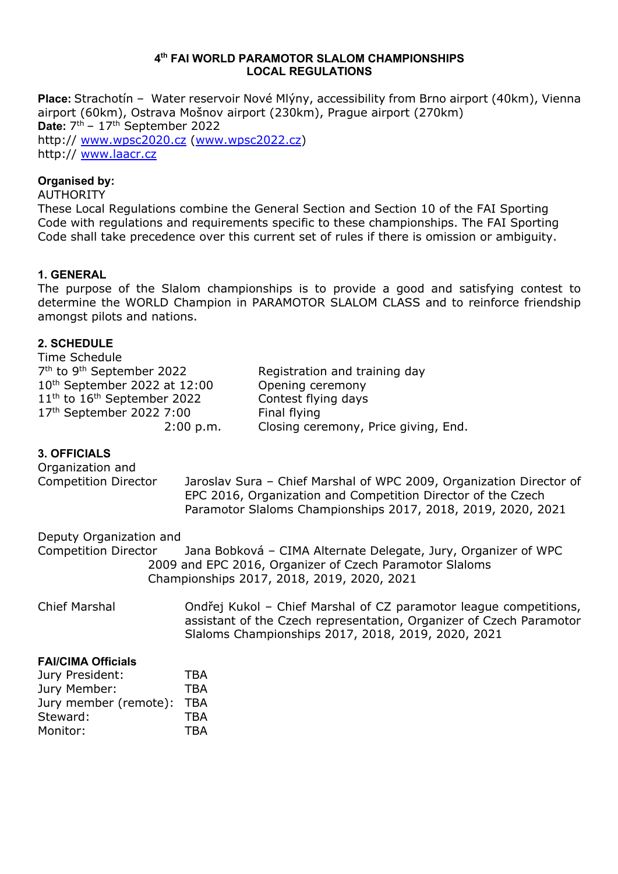#### **4th FAI WORLD PARAMOTOR SLALOM CHAMPIONSHIPS LOCAL REGULATIONS**

**Place:** Strachotín – Water reservoir Nové Mlýny, accessibility from Brno airport (40km), Vienna airport (60km), Ostrava Mošnov airport (230km), Prague airport (270km) **Date:** 7th – 17th September 2022 http:// www.wpsc2020.cz (www.wpsc2022.cz) http:// www.laacr.cz

#### **Organised by:**

#### AUTHORITY

These Local Regulations combine the General Section and Section 10 of the FAI Sporting Code with regulations and requirements specific to these championships. The FAI Sporting Code shall take precedence over this current set of rules if there is omission or ambiguity.

#### **1. GENERAL**

The purpose of the Slalom championships is to provide a good and satisfying contest to determine the WORLD Champion in PARAMOTOR SLALOM CLASS and to reinforce friendship amongst pilots and nations.

#### **2. SCHEDULE** Time Schedule

| Time Schedule                                     |                                      |
|---------------------------------------------------|--------------------------------------|
| 7 <sup>th</sup> to 9 <sup>th</sup> September 2022 | Registration and training day        |
| 10 <sup>th</sup> September 2022 at 12:00          | Opening ceremony                     |
| $11th$ to $16th$ September 2022                   | Contest flying days                  |
| 17th September 2022 7:00                          | Final flying                         |
| 2:00 p.m.                                         | Closing ceremony, Price giving, End. |

#### **3. OFFICIALS**

| Organization and<br><b>Competition Director</b> | Jaroslav Sura - Chief Marshal of WPC 2009, Organization Director of<br>EPC 2016, Organization and Competition Director of the Czech<br>Paramotor Slaloms Championships 2017, 2018, 2019, 2020, 2021 |
|-------------------------------------------------|-----------------------------------------------------------------------------------------------------------------------------------------------------------------------------------------------------|
| Deputy Organization and                         |                                                                                                                                                                                                     |
| <b>Competition Director</b>                     | Jana Bobková - CIMA Alternate Delegate, Jury, Organizer of WPC<br>2009 and EPC 2016, Organizer of Czech Paramotor Slaloms                                                                           |
|                                                 | Championships 2017, 2018, 2019, 2020, 2021                                                                                                                                                          |

Chief Marshal Ondřej Kukol – Chief Marshal of CZ paramotor league competitions, assistant of the Czech representation, Organizer of Czech Paramotor Slaloms Championships 2017, 2018, 2019, 2020, 2021

#### **FAI/CIMA Officials**

| Jury President:       | <b>TBA</b> |
|-----------------------|------------|
| Jury Member:          | <b>TBA</b> |
| Jury member (remote): | <b>TBA</b> |
| Steward:              | <b>TBA</b> |
| Monitor:              | <b>TRA</b> |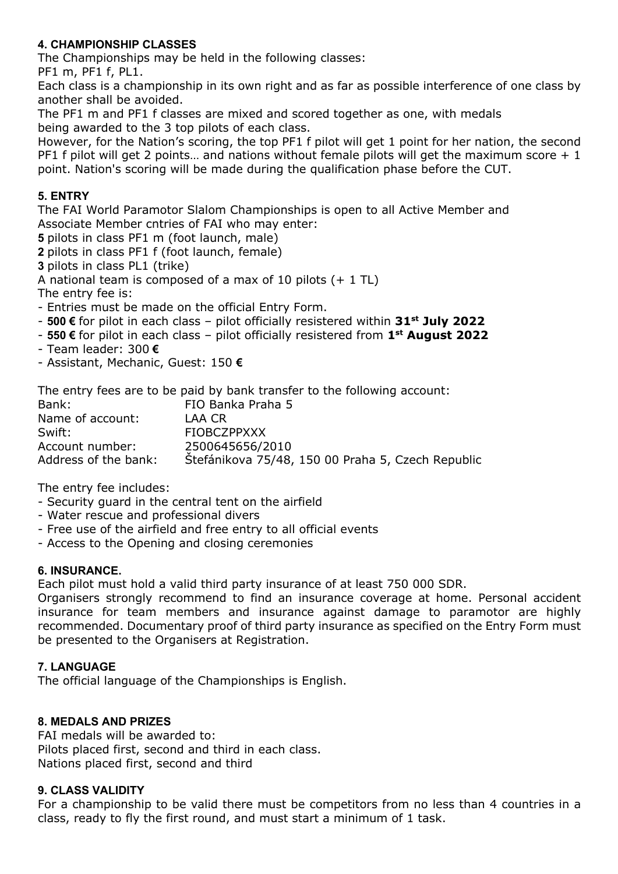## **4. CHAMPIONSHIP CLASSES**

The Championships may be held in the following classes:

PF1 m, PF1 f, PL1.

Each class is a championship in its own right and as far as possible interference of one class by another shall be avoided.

The PF1 m and PF1 f classes are mixed and scored together as one, with medals being awarded to the 3 top pilots of each class.

However, for the Nation's scoring, the top PF1 f pilot will get 1 point for her nation, the second PF1 f pilot will get 2 points... and nations without female pilots will get the maximum score  $+1$ point. Nation's scoring will be made during the qualification phase before the CUT.

# **5. ENTRY**

The FAI World Paramotor Slalom Championships is open to all Active Member and Associate Member cntries of FAI who may enter:

**5** pilots in class PF1 m (foot launch, male)

**2** pilots in class PF1 f (foot launch, female)

**3** pilots in class PL1 (trike)

A national team is composed of a max of 10 pilots (+ 1 TL)

The entry fee is:

- Entries must be made on the official Entry Form.

- **500 €** for pilot in each class pilot officially resistered within **31st July 2022**
- **550 €** for pilot in each class pilot officially resistered from **1st August 2022**
- Team leader: 300 **€**
- Assistant, Mechanic, Guest: 150 **€**

The entry fees are to be paid by bank transfer to the following account: Bank: FIO Banka Praha 5 Name of account: LAA CR

| Swift:               | <b>FIOBCZPPXXX</b>                                |
|----------------------|---------------------------------------------------|
| Account number:      | 2500645656/2010                                   |
| Address of the bank: | Stefánikova 75/48, 150 00 Praha 5, Czech Republic |

The entry fee includes:

- Security guard in the central tent on the airfield
- Water rescue and professional divers
- Free use of the airfield and free entry to all official events
- Access to the Opening and closing ceremonies

## **6. INSURANCE.**

Each pilot must hold a valid third party insurance of at least 750 000 SDR.

Organisers strongly recommend to find an insurance coverage at home. Personal accident insurance for team members and insurance against damage to paramotor are highly recommended. Documentary proof of third party insurance as specified on the Entry Form must be presented to the Organisers at Registration.

## **7. LANGUAGE**

The official language of the Championships is English.

## **8. MEDALS AND PRIZES**

FAI medals will be awarded to: Pilots placed first, second and third in each class. Nations placed first, second and third

## **9. CLASS VALIDITY**

For a championship to be valid there must be competitors from no less than 4 countries in a class, ready to fly the first round, and must start a minimum of 1 task.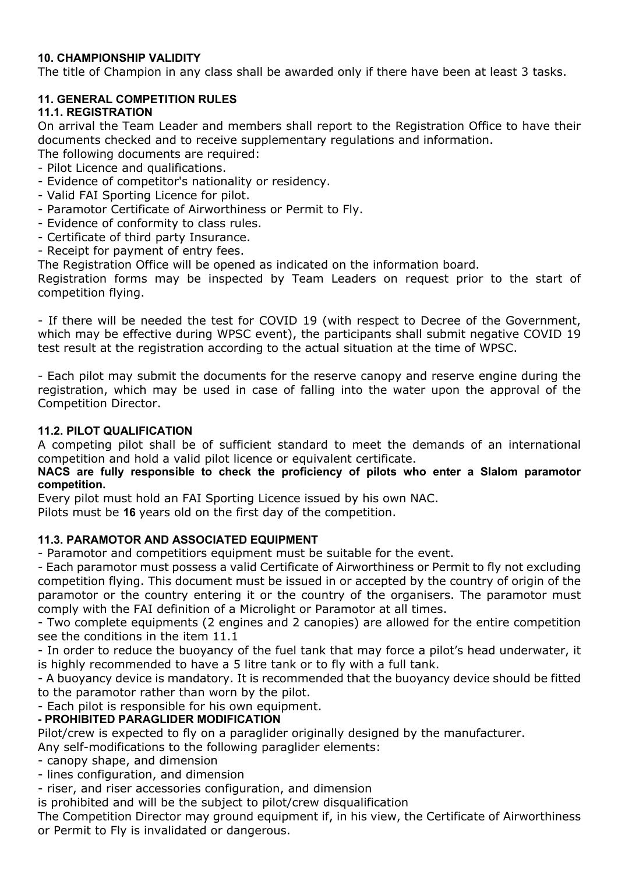## **10. CHAMPIONSHIP VALIDITY**

The title of Champion in any class shall be awarded only if there have been at least 3 tasks.

# **11. GENERAL COMPETITION RULES**

# **11.1. REGISTRATION**

On arrival the Team Leader and members shall report to the Registration Office to have their documents checked and to receive supplementary regulations and information.

The following documents are required:

- Pilot Licence and qualifications.
- Evidence of competitor's nationality or residency.
- Valid FAI Sporting Licence for pilot.
- Paramotor Certificate of Airworthiness or Permit to Fly.
- Evidence of conformity to class rules.
- Certificate of third party Insurance.
- Receipt for payment of entry fees.

The Registration Office will be opened as indicated on the information board.

Registration forms may be inspected by Team Leaders on request prior to the start of competition flying.

- If there will be needed the test for COVID 19 (with respect to Decree of the Government, which may be effective during WPSC event), the participants shall submit negative COVID 19 test result at the registration according to the actual situation at the time of WPSC.

- Each pilot may submit the documents for the reserve canopy and reserve engine during the registration, which may be used in case of falling into the water upon the approval of the Competition Director.

## **11.2. PILOT QUALIFICATION**

A competing pilot shall be of sufficient standard to meet the demands of an international competition and hold a valid pilot licence or equivalent certificate.

#### **NACS are fully responsible to check the proficiency of pilots who enter a Slalom paramotor competition.**

Every pilot must hold an FAI Sporting Licence issued by his own NAC.

Pilots must be **16** years old on the first day of the competition.

## **11.3. PARAMOTOR AND ASSOCIATED EQUIPMENT**

- Paramotor and competitiors equipment must be suitable for the event.

- Each paramotor must possess a valid Certificate of Airworthiness or Permit to fly not excluding competition flying. This document must be issued in or accepted by the country of origin of the paramotor or the country entering it or the country of the organisers. The paramotor must comply with the FAI definition of a Microlight or Paramotor at all times.

- Two complete equipments (2 engines and 2 canopies) are allowed for the entire competition see the conditions in the item 11.1

- In order to reduce the buoyancy of the fuel tank that may force a pilot's head underwater, it is highly recommended to have a 5 litre tank or to fly with a full tank.

- A buoyancy device is mandatory. It is recommended that the buoyancy device should be fitted to the paramotor rather than worn by the pilot.

- Each pilot is responsible for his own equipment.

# **- PROHIBITED PARAGLIDER MODIFICATION**

Pilot/crew is expected to fly on a paraglider originally designed by the manufacturer.

Any self-modifications to the following paraglider elements:

- canopy shape, and dimension
- lines configuration, and dimension

- riser, and riser accessories configuration, and dimension

is prohibited and will be the subject to pilot/crew disqualification

The Competition Director may ground equipment if, in his view, the Certificate of Airworthiness or Permit to Fly is invalidated or dangerous.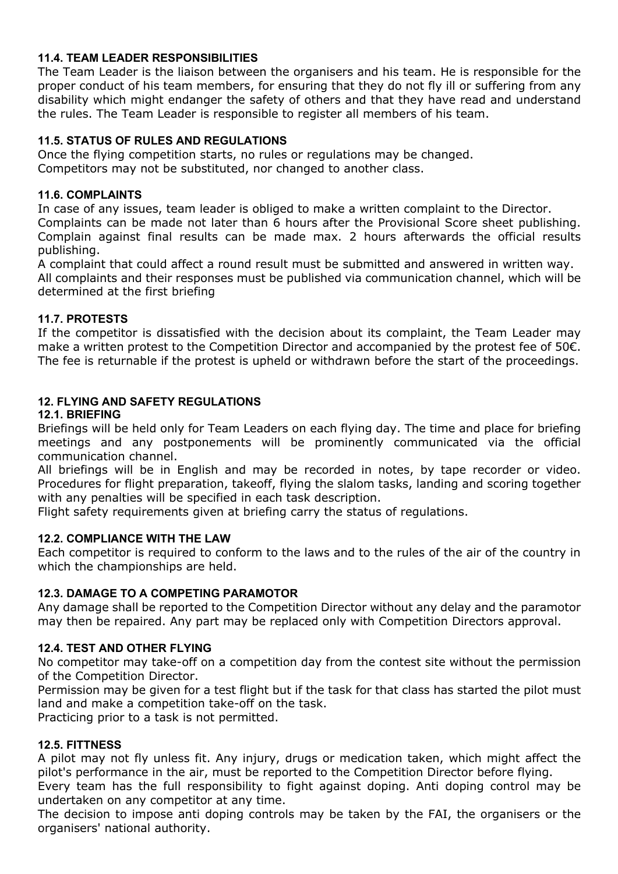## **11.4. TEAM LEADER RESPONSIBILITIES**

The Team Leader is the liaison between the organisers and his team. He is responsible for the proper conduct of his team members, for ensuring that they do not fly ill or suffering from any disability which might endanger the safety of others and that they have read and understand the rules. The Team Leader is responsible to register all members of his team.

# **11.5. STATUS OF RULES AND REGULATIONS**

Once the flying competition starts, no rules or regulations may be changed. Competitors may not be substituted, nor changed to another class.

## **11.6. COMPLAINTS**

In case of any issues, team leader is obliged to make a written complaint to the Director. Complaints can be made not later than 6 hours after the Provisional Score sheet publishing. Complain against final results can be made max. 2 hours afterwards the official results publishing.

A complaint that could affect a round result must be submitted and answered in written way. All complaints and their responses must be published via communication channel, which will be determined at the first briefing

# **11.7. PROTESTS**

If the competitor is dissatisfied with the decision about its complaint, the Team Leader may make a written protest to the Competition Director and accompanied by the protest fee of 50€. The fee is returnable if the protest is upheld or withdrawn before the start of the proceedings.

# **12. FLYING AND SAFETY REGULATIONS**

# **12.1. BRIEFING**

Briefings will be held only for Team Leaders on each flying day. The time and place for briefing meetings and any postponements will be prominently communicated via the official communication channel.

All briefings will be in English and may be recorded in notes, by tape recorder or video. Procedures for flight preparation, takeoff, flying the slalom tasks, landing and scoring together with any penalties will be specified in each task description.

Flight safety requirements given at briefing carry the status of regulations.

## **12.2. COMPLIANCE WITH THE LAW**

Each competitor is required to conform to the laws and to the rules of the air of the country in which the championships are held.

## **12.3. DAMAGE TO A COMPETING PARAMOTOR**

Any damage shall be reported to the Competition Director without any delay and the paramotor may then be repaired. Any part may be replaced only with Competition Directors approval.

## **12.4. TEST AND OTHER FLYING**

No competitor may take-off on a competition day from the contest site without the permission of the Competition Director.

Permission may be given for a test flight but if the task for that class has started the pilot must land and make a competition take-off on the task.

Practicing prior to a task is not permitted.

## **12.5. FITTNESS**

A pilot may not fly unless fit. Any injury, drugs or medication taken, which might affect the pilot's performance in the air, must be reported to the Competition Director before flying.

Every team has the full responsibility to fight against doping. Anti doping control may be undertaken on any competitor at any time.

The decision to impose anti doping controls may be taken by the FAI, the organisers or the organisers' national authority.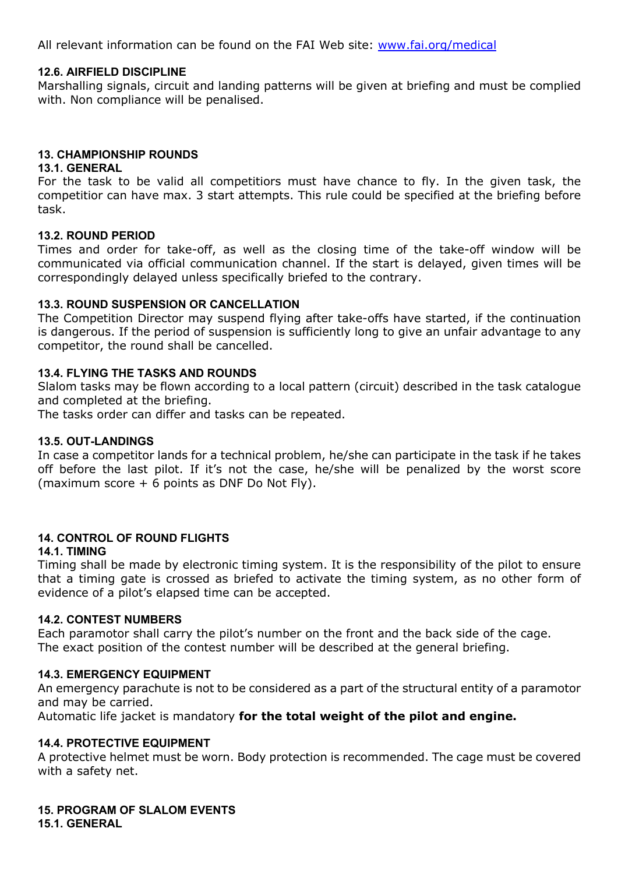All relevant information can be found on the FAI Web site: www.fai.org/medical

#### **12.6. AIRFIELD DISCIPLINE**

Marshalling signals, circuit and landing patterns will be given at briefing and must be complied with. Non compliance will be penalised.

#### **13. CHAMPIONSHIP ROUNDS**

#### **13.1. GENERAL**

For the task to be valid all competitiors must have chance to fly. In the given task, the competitior can have max. 3 start attempts. This rule could be specified at the briefing before task.

#### **13.2. ROUND PERIOD**

Times and order for take-off, as well as the closing time of the take-off window will be communicated via official communication channel. If the start is delayed, given times will be correspondingly delayed unless specifically briefed to the contrary.

#### **13.3. ROUND SUSPENSION OR CANCELLATION**

The Competition Director may suspend flying after take-offs have started, if the continuation is dangerous. If the period of suspension is sufficiently long to give an unfair advantage to any competitor, the round shall be cancelled.

#### **13.4. FLYING THE TASKS AND ROUNDS**

Slalom tasks may be flown according to a local pattern (circuit) described in the task catalogue and completed at the briefing.

The tasks order can differ and tasks can be repeated.

#### **13.5. OUT-LANDINGS**

In case a competitor lands for a technical problem, he/she can participate in the task if he takes off before the last pilot. If it's not the case, he/she will be penalized by the worst score (maximum score + 6 points as DNF Do Not Fly).

## **14. CONTROL OF ROUND FLIGHTS**

#### **14.1. TIMING**

Timing shall be made by electronic timing system. It is the responsibility of the pilot to ensure that a timing gate is crossed as briefed to activate the timing system, as no other form of evidence of a pilot's elapsed time can be accepted.

#### **14.2. CONTEST NUMBERS**

Each paramotor shall carry the pilot's number on the front and the back side of the cage. The exact position of the contest number will be described at the general briefing.

#### **14.3. EMERGENCY EQUIPMENT**

An emergency parachute is not to be considered as a part of the structural entity of a paramotor and may be carried.

Automatic life jacket is mandatory **for the total weight of the pilot and engine.**

#### **14.4. PROTECTIVE EQUIPMENT**

A protective helmet must be worn. Body protection is recommended. The cage must be covered with a safety net.

**15. PROGRAM OF SLALOM EVENTS 15.1. GENERAL**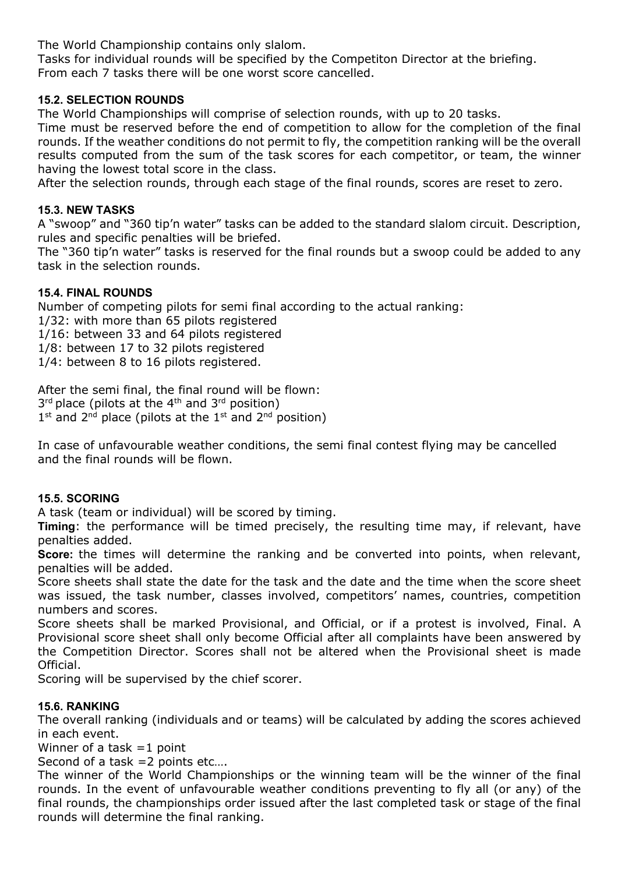The World Championship contains only slalom.

Tasks for individual rounds will be specified by the Competiton Director at the briefing. From each 7 tasks there will be one worst score cancelled.

# **15.2. SELECTION ROUNDS**

The World Championships will comprise of selection rounds, with up to 20 tasks.

Time must be reserved before the end of competition to allow for the completion of the final rounds. If the weather conditions do not permit to fly, the competition ranking will be the overall results computed from the sum of the task scores for each competitor, or team, the winner having the lowest total score in the class.

After the selection rounds, through each stage of the final rounds, scores are reset to zero.

## **15.3. NEW TASKS**

A "swoop" and "360 tip'n water" tasks can be added to the standard slalom circuit. Description, rules and specific penalties will be briefed.

The "360 tip'n water" tasks is reserved for the final rounds but a swoop could be added to any task in the selection rounds.

#### **15.4. FINAL ROUNDS**

Number of competing pilots for semi final according to the actual ranking: 1/32: with more than 65 pilots registered 1/16: between 33 and 64 pilots registered 1/8: between 17 to 32 pilots registered 1/4: between 8 to 16 pilots registered.

After the semi final, the final round will be flown:  $3<sup>rd</sup>$  place (pilots at the 4<sup>th</sup> and  $3<sup>rd</sup>$  position)  $1<sup>st</sup>$  and  $2<sup>nd</sup>$  place (pilots at the  $1<sup>st</sup>$  and  $2<sup>nd</sup>$  position)

In case of unfavourable weather conditions, the semi final contest flying may be cancelled and the final rounds will be flown.

## **15.5. SCORING**

A task (team or individual) will be scored by timing.

**Timing**: the performance will be timed precisely, the resulting time may, if relevant, have penalties added.

**Score:** the times will determine the ranking and be converted into points, when relevant, penalties will be added.

Score sheets shall state the date for the task and the date and the time when the score sheet was issued, the task number, classes involved, competitors' names, countries, competition numbers and scores.

Score sheets shall be marked Provisional, and Official, or if a protest is involved, Final. A Provisional score sheet shall only become Official after all complaints have been answered by the Competition Director. Scores shall not be altered when the Provisional sheet is made Official.

Scoring will be supervised by the chief scorer.

## **15.6. RANKING**

The overall ranking (individuals and or teams) will be calculated by adding the scores achieved in each event.

Winner of a task  $=1$  point

Second of a task =2 points etc….

The winner of the World Championships or the winning team will be the winner of the final rounds. In the event of unfavourable weather conditions preventing to fly all (or any) of the final rounds, the championships order issued after the last completed task or stage of the final rounds will determine the final ranking.